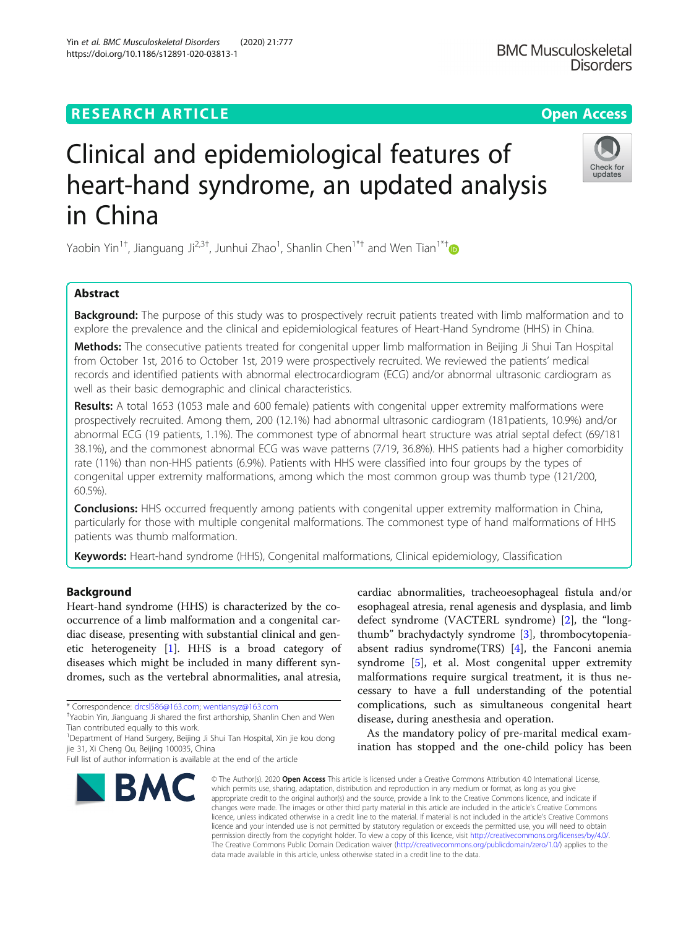## **RESEARCH ARTICLE Example 2014 12:30 The Contract of Contract ACCESS**

# Clinical and epidemiological features of heart-hand syndrome, an updated analysis in China

Yaobin Yin<sup>1[†](http://orcid.org/0000-0002-7774-1902)</sup>, Jianguang Ji<sup>2,3†</sup>, Junhui Zhao<sup>1</sup>, Shanlin Chen<sup>1\*†</sup> and Wen Tian<sup>1\*†</sup>

## Abstract

**Background:** The purpose of this study was to prospectively recruit patients treated with limb malformation and to explore the prevalence and the clinical and epidemiological features of Heart-Hand Syndrome (HHS) in China.

Methods: The consecutive patients treated for congenital upper limb malformation in Beijing Ji Shui Tan Hospital from October 1st, 2016 to October 1st, 2019 were prospectively recruited. We reviewed the patients' medical records and identified patients with abnormal electrocardiogram (ECG) and/or abnormal ultrasonic cardiogram as well as their basic demographic and clinical characteristics.

Results: A total 1653 (1053 male and 600 female) patients with congenital upper extremity malformations were prospectively recruited. Among them, 200 (12.1%) had abnormal ultrasonic cardiogram (181patients, 10.9%) and/or abnormal ECG (19 patients, 1.1%). The commonest type of abnormal heart structure was atrial septal defect (69/181 38.1%), and the commonest abnormal ECG was wave patterns (7/19, 36.8%). HHS patients had a higher comorbidity rate (11%) than non-HHS patients (6.9%). Patients with HHS were classified into four groups by the types of congenital upper extremity malformations, among which the most common group was thumb type (121/200, 60.5%).

**Conclusions:** HHS occurred frequently among patients with congenital upper extremity malformation in China, particularly for those with multiple congenital malformations. The commonest type of hand malformations of HHS patients was thumb malformation.

Keywords: Heart-hand syndrome (HHS), Congenital malformations, Clinical epidemiology, Classification

## Background

Heart-hand syndrome (HHS) is characterized by the cooccurrence of a limb malformation and a congenital cardiac disease, presenting with substantial clinical and genetic heterogeneity [\[1\]](#page-5-0). HHS is a broad category of diseases which might be included in many different syndromes, such as the vertebral abnormalities, anal atresia,

\* Correspondence: [drcsl586@163.com;](mailto:drcsl586@163.com) [wentiansyz@163.com](mailto:wentiansyz@163.com) †

Yaobin Yin, Jianguang Ji shared the first arthorship, Shanlin Chen and Wen Tian contributed equally to this work.

<sup>1</sup>Department of Hand Surgery, Beijing Ji Shui Tan Hospital, Xin jie kou dong jie 31, Xi Cheng Qu, Beijing 100035, China

BMC

cardiac abnormalities, tracheoesophageal fistula and/or esophageal atresia, renal agenesis and dysplasia, and limb defect syndrome (VACTERL syndrome) [\[2](#page-5-0)], the "longthumb" brachydactyly syndrome [\[3](#page-5-0)], thrombocytopeniaabsent radius syndrome(TRS) [\[4](#page-5-0)], the Fanconi anemia syndrome [\[5](#page-5-0)], et al. Most congenital upper extremity malformations require surgical treatment, it is thus necessary to have a full understanding of the potential complications, such as simultaneous congenital heart disease, during anesthesia and operation.

As the mandatory policy of pre-marital medical examination has stopped and the one-child policy has been

© The Author(s), 2020 **Open Access** This article is licensed under a Creative Commons Attribution 4.0 International License, which permits use, sharing, adaptation, distribution and reproduction in any medium or format, as long as you give appropriate credit to the original author(s) and the source, provide a link to the Creative Commons licence, and indicate if changes were made. The images or other third party material in this article are included in the article's Creative Commons licence, unless indicated otherwise in a credit line to the material. If material is not included in the article's Creative Commons licence and your intended use is not permitted by statutory regulation or exceeds the permitted use, you will need to obtain permission directly from the copyright holder. To view a copy of this licence, visit [http://creativecommons.org/licenses/by/4.0/.](http://creativecommons.org/licenses/by/4.0/) The Creative Commons Public Domain Dedication waiver [\(http://creativecommons.org/publicdomain/zero/1.0/](http://creativecommons.org/publicdomain/zero/1.0/)) applies to the data made available in this article, unless otherwise stated in a credit line to the data.





Full list of author information is available at the end of the article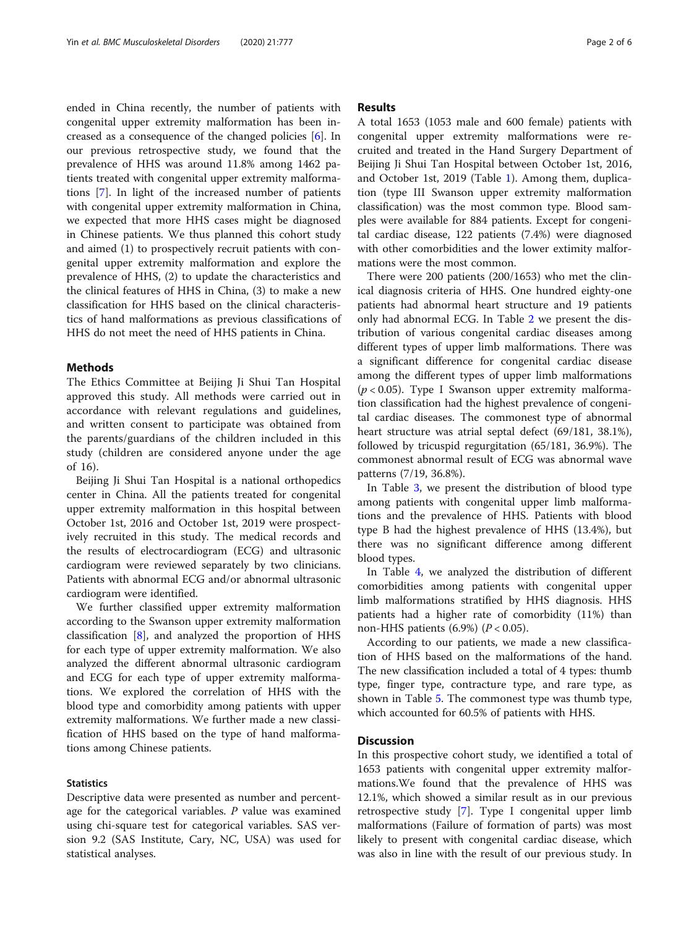ended in China recently, the number of patients with congenital upper extremity malformation has been increased as a consequence of the changed policies [\[6](#page-5-0)]. In our previous retrospective study, we found that the prevalence of HHS was around 11.8% among 1462 patients treated with congenital upper extremity malformations [[7\]](#page-5-0). In light of the increased number of patients with congenital upper extremity malformation in China, we expected that more HHS cases might be diagnosed in Chinese patients. We thus planned this cohort study and aimed (1) to prospectively recruit patients with congenital upper extremity malformation and explore the prevalence of HHS, (2) to update the characteristics and the clinical features of HHS in China, (3) to make a new classification for HHS based on the clinical characteristics of hand malformations as previous classifications of HHS do not meet the need of HHS patients in China.

## Methods

The Ethics Committee at Beijing Ji Shui Tan Hospital approved this study. All methods were carried out in accordance with relevant regulations and guidelines, and written consent to participate was obtained from the parents/guardians of the children included in this study (children are considered anyone under the age of 16).

Beijing Ji Shui Tan Hospital is a national orthopedics center in China. All the patients treated for congenital upper extremity malformation in this hospital between October 1st, 2016 and October 1st, 2019 were prospectively recruited in this study. The medical records and the results of electrocardiogram (ECG) and ultrasonic cardiogram were reviewed separately by two clinicians. Patients with abnormal ECG and/or abnormal ultrasonic cardiogram were identified.

We further classified upper extremity malformation according to the Swanson upper extremity malformation classification [[8](#page-5-0)], and analyzed the proportion of HHS for each type of upper extremity malformation. We also analyzed the different abnormal ultrasonic cardiogram and ECG for each type of upper extremity malformations. We explored the correlation of HHS with the blood type and comorbidity among patients with upper extremity malformations. We further made a new classification of HHS based on the type of hand malformations among Chinese patients.

## **Statistics**

Descriptive data were presented as number and percentage for the categorical variables.  $P$  value was examined using chi-square test for categorical variables. SAS version 9.2 (SAS Institute, Cary, NC, USA) was used for statistical analyses.

## Results

A total 1653 (1053 male and 600 female) patients with congenital upper extremity malformations were recruited and treated in the Hand Surgery Department of Beijing Ji Shui Tan Hospital between October 1st, 2016, and October 1st, 2019 (Table [1\)](#page-2-0). Among them, duplication (type III Swanson upper extremity malformation classification) was the most common type. Blood samples were available for 884 patients. Except for congenital cardiac disease, 122 patients (7.4%) were diagnosed with other comorbidities and the lower extimity malformations were the most common.

There were 200 patients (200/1653) who met the clinical diagnosis criteria of HHS. One hundred eighty-one patients had abnormal heart structure and 19 patients only had abnormal ECG. In Table [2](#page-3-0) we present the distribution of various congenital cardiac diseases among different types of upper limb malformations. There was a significant difference for congenital cardiac disease among the different types of upper limb malformations  $(p < 0.05)$ . Type I Swanson upper extremity malformation classification had the highest prevalence of congenital cardiac diseases. The commonest type of abnormal heart structure was atrial septal defect (69/181, 38.1%), followed by tricuspid regurgitation (65/181, 36.9%). The commonest abnormal result of ECG was abnormal wave patterns (7/19, 36.8%).

In Table [3,](#page-3-0) we present the distribution of blood type among patients with congenital upper limb malformations and the prevalence of HHS. Patients with blood type B had the highest prevalence of HHS (13.4%), but there was no significant difference among different blood types.

In Table [4,](#page-3-0) we analyzed the distribution of different comorbidities among patients with congenital upper limb malformations stratified by HHS diagnosis. HHS patients had a higher rate of comorbidity (11%) than non-HHS patients  $(6.9\%)$   $(P < 0.05)$ .

According to our patients, we made a new classification of HHS based on the malformations of the hand. The new classification included a total of 4 types: thumb type, finger type, contracture type, and rare type, as shown in Table [5.](#page-4-0) The commonest type was thumb type, which accounted for 60.5% of patients with HHS.

## **Discussion**

In this prospective cohort study, we identified a total of 1653 patients with congenital upper extremity malformations.We found that the prevalence of HHS was 12.1%, which showed a similar result as in our previous retrospective study [\[7\]](#page-5-0). Type I congenital upper limb malformations (Failure of formation of parts) was most likely to present with congenital cardiac disease, which was also in line with the result of our previous study. In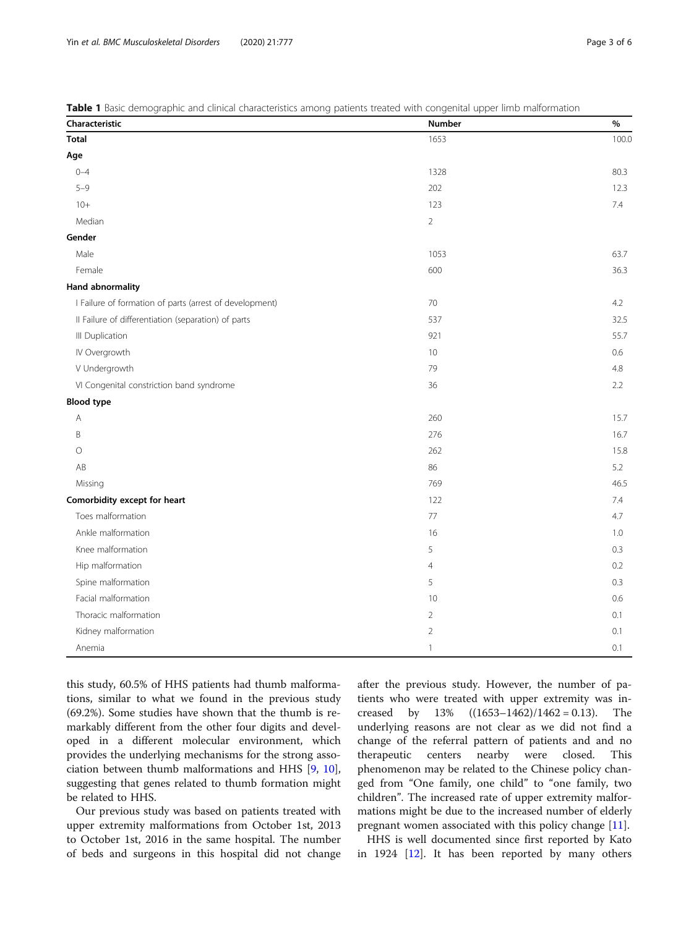<span id="page-2-0"></span>Table 1 Basic demographic and clinical characteristics among patients treated with congenital upper limb malformation

| Characteristic                                          | Number         | $\%$  |
|---------------------------------------------------------|----------------|-------|
| <b>Total</b>                                            | 1653           | 100.0 |
| Age                                                     |                |       |
| $0 - 4$                                                 | 1328           | 80.3  |
| $5 - 9$                                                 | 202            | 12.3  |
| $10 +$                                                  | 123            | 7.4   |
| Median                                                  | $\overline{2}$ |       |
| Gender                                                  |                |       |
| Male                                                    | 1053           | 63.7  |
| Female                                                  | 600            | 36.3  |
| <b>Hand abnormality</b>                                 |                |       |
| I Failure of formation of parts (arrest of development) | 70             | 4.2   |
| Il Failure of differentiation (separation) of parts     | 537            | 32.5  |
| III Duplication                                         | 921            | 55.7  |
| IV Overgrowth                                           | 10             | 0.6   |
| V Undergrowth                                           | 79             | 4.8   |
| VI Congenital constriction band syndrome                | 36             | 2.2   |
| <b>Blood type</b>                                       |                |       |
| $\overline{A}$                                          | 260            | 15.7  |
| B                                                       | 276            | 16.7  |
| $\circ$                                                 | 262            | 15.8  |
| AB                                                      | 86             | 5.2   |
| Missing                                                 | 769            | 46.5  |
| Comorbidity except for heart                            | 122            | 7.4   |
| Toes malformation                                       | 77             | 4.7   |
| Ankle malformation                                      | 16             | 1.0   |
| Knee malformation                                       | 5              | 0.3   |
| Hip malformation                                        | $\overline{4}$ | 0.2   |
| Spine malformation                                      | 5              | 0.3   |
| Facial malformation                                     | 10             | 0.6   |
| Thoracic malformation                                   | $\overline{2}$ | 0.1   |
| Kidney malformation                                     | $\overline{2}$ | 0.1   |
| Anemia                                                  | $\mathbf{1}$   | 0.1   |

this study, 60.5% of HHS patients had thumb malformations, similar to what we found in the previous study (69.2%). Some studies have shown that the thumb is remarkably different from the other four digits and developed in a different molecular environment, which provides the underlying mechanisms for the strong association between thumb malformations and HHS [[9,](#page-5-0) [10](#page-5-0)], suggesting that genes related to thumb formation might be related to HHS.

Our previous study was based on patients treated with upper extremity malformations from October 1st, 2013 to October 1st, 2016 in the same hospital. The number of beds and surgeons in this hospital did not change after the previous study. However, the number of patients who were treated with upper extremity was increased by  $13\%$   $((1653-1462)/1462=0.13)$ . The underlying reasons are not clear as we did not find a change of the referral pattern of patients and and no therapeutic centers nearby were closed. This phenomenon may be related to the Chinese policy changed from "One family, one child" to "one family, two children". The increased rate of upper extremity malformations might be due to the increased number of elderly pregnant women associated with this policy change [[11](#page-5-0)].

HHS is well documented since first reported by Kato in 1924 [\[12\]](#page-5-0). It has been reported by many others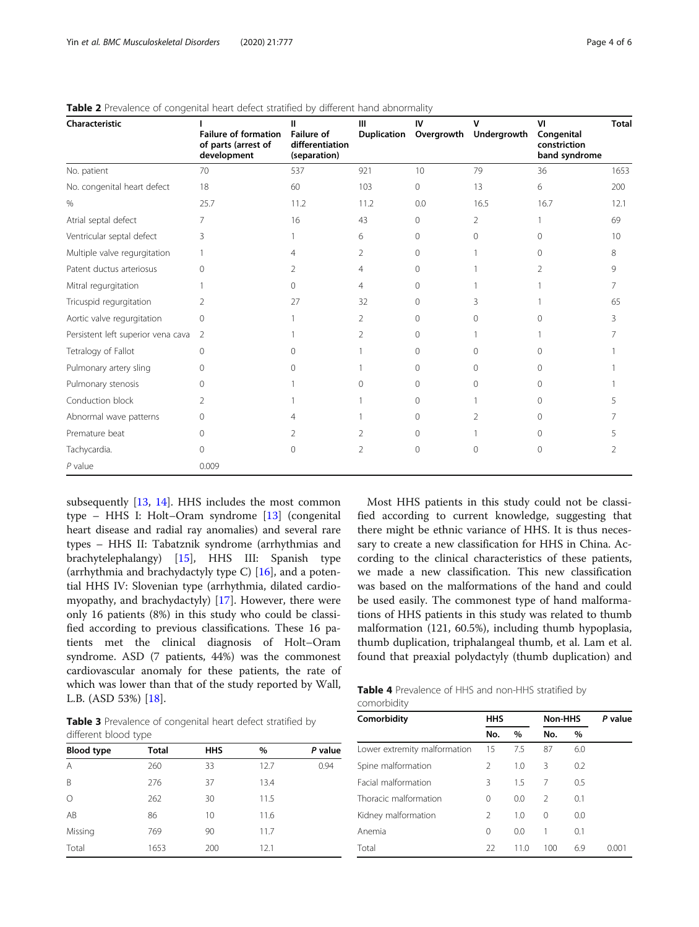| Characteristic                     | <b>Failure of formation</b><br>of parts (arrest of<br>development | <b>Failure of</b><br>differentiation<br>(separation) | Ш              | IV<br>Duplication Overgrowth | v<br>Undergrowth | VI<br>Congenital<br>constriction<br>band syndrome | <b>Total</b> |
|------------------------------------|-------------------------------------------------------------------|------------------------------------------------------|----------------|------------------------------|------------------|---------------------------------------------------|--------------|
| No. patient                        | 70                                                                | 537                                                  | 921            | 10                           | 79               | 36                                                | 1653         |
| No. congenital heart defect        | 18                                                                | 60                                                   | 103            | $\circ$                      | 13               | 6                                                 | 200          |
| %                                  | 25.7                                                              | 11.2                                                 | 11.2           | 0.0                          | 16.5             | 16.7                                              | 12.1         |
| Atrial septal defect               | 7                                                                 | 16                                                   | 43             | $\Omega$                     | $\overline{2}$   |                                                   | 69           |
| Ventricular septal defect          | ζ                                                                 |                                                      | 6              | $\Omega$                     | $\Omega$         | U                                                 | 10           |
| Multiple valve regurgitation       |                                                                   | 4                                                    | 2              | $\Omega$                     |                  | 0                                                 | 8            |
| Patent ductus arteriosus           |                                                                   |                                                      | 4              | 0                            |                  |                                                   | 9            |
| Mitral regurgitation               |                                                                   | 0                                                    | $\overline{4}$ | $\Omega$                     |                  |                                                   |              |
| Tricuspid regurgitation            | $\overline{2}$                                                    | 27                                                   | 32             | $\Omega$                     | 3                |                                                   | 65           |
| Aortic valve regurgitation         | $\Omega$                                                          |                                                      | 2              | $\Omega$                     | $\Omega$         | Ω                                                 | ζ            |
| Persistent left superior vena cava | 2                                                                 |                                                      | $\mathcal{P}$  | $\cap$                       |                  |                                                   |              |
| Tetralogy of Fallot                | Ω                                                                 |                                                      |                | 0                            | 0                |                                                   |              |
| Pulmonary artery sling             | $\Omega$                                                          |                                                      |                | $\Omega$                     | $\Omega$         | Ω                                                 |              |
| Pulmonary stenosis                 | $\Omega$                                                          |                                                      | $\Omega$       | $\Omega$                     | 0                | $\Omega$                                          |              |
| Conduction block                   | 2                                                                 |                                                      |                | $\Omega$                     |                  | $\cap$                                            |              |
| Abnormal wave patterns             | 0                                                                 |                                                      |                | $\Omega$                     | $\mathfrak{D}$   | $\Omega$                                          |              |
| Premature beat                     |                                                                   |                                                      | 2              | 0                            |                  | Ω                                                 |              |
| Tachycardia.                       | 0                                                                 | 0                                                    | 2              | $\Omega$                     | $\Omega$         | $\Omega$                                          |              |
| $P$ value                          | 0.009                                                             |                                                      |                |                              |                  |                                                   |              |

<span id="page-3-0"></span>

| <b>Table 2</b> Prevalence of congenital heart defect stratified by different hand abnormality |  |
|-----------------------------------------------------------------------------------------------|--|
|                                                                                               |  |

subsequently [[13](#page-5-0), [14](#page-5-0)]. HHS includes the most common type – HHS I: Holt–Oram syndrome [\[13](#page-5-0)] (congenital heart disease and radial ray anomalies) and several rare types – HHS II: Tabatznik syndrome (arrhythmias and brachytelephalangy) [[15\]](#page-5-0), HHS III: Spanish type (arrhythmia and brachydactyly type C) [\[16](#page-5-0)], and a potential HHS IV: Slovenian type (arrhythmia, dilated cardiomyopathy, and brachydactyly) [\[17](#page-5-0)]. However, there were only 16 patients (8%) in this study who could be classified according to previous classifications. These 16 patients met the clinical diagnosis of Holt–Oram syndrome. ASD (7 patients, 44%) was the commonest cardiovascular anomaly for these patients, the rate of which was lower than that of the study reported by Wall, L.B. (ASD 53%) [\[18](#page-5-0)].

Most HHS patients in this study could not be classified according to current knowledge, suggesting that there might be ethnic variance of HHS. It is thus necessary to create a new classification for HHS in China. According to the clinical characteristics of these patients, we made a new classification. This new classification was based on the malformations of the hand and could be used easily. The commonest type of hand malformations of HHS patients in this study was related to thumb malformation (121, 60.5%), including thumb hypoplasia, thumb duplication, triphalangeal thumb, et al. Lam et al. found that preaxial polydactyly (thumb duplication) and

| Table 3 Prevalence of congenital heart defect stratified by |  |  |  |
|-------------------------------------------------------------|--|--|--|
| different blood type                                        |  |  |  |

| <b>Blood type</b> | <b>Total</b> | <b>HHS</b> | $\%$ | P value |
|-------------------|--------------|------------|------|---------|
| A                 | 260          | 33         | 12.7 | 0.94    |
| B                 | 276          | 37         | 13.4 |         |
| $\circ$           | 262          | 30         | 11.5 |         |
| AB                | 86           | 10         | 11.6 |         |
| Missing           | 769          | 90         | 11.7 |         |
| Total             | 1653         | 200        | 12.1 |         |

|             | <b>Table 4</b> Prevalence of HHS and non-HHS stratified by |  |
|-------------|------------------------------------------------------------|--|
| comorbidity |                                                            |  |

| Comorbidity                  | <b>HHS</b>     |      | Non-HHS       |      | P value |
|------------------------------|----------------|------|---------------|------|---------|
|                              | No.            | $\%$ | No.           | $\%$ |         |
| Lower extremity malformation | 15             | 7.5  | 87            | 6.0  |         |
| Spine malformation           | $\mathcal{P}$  | 1.0  | 3             | 0.2  |         |
| Facial malformation          | 3              | 1.5  | 7             | 0.5  |         |
| Thoracic malformation        | 0              | 0.0  | $\mathcal{L}$ | 0.1  |         |
| Kidney malformation          | $\mathfrak{D}$ | 1.0  | $\Omega$      | 0.0  |         |
| Anemia                       | 0              | 0.0  |               | 0.1  |         |
| Total                        | 22             | 11.0 | 100           | 6.9  | 0.001   |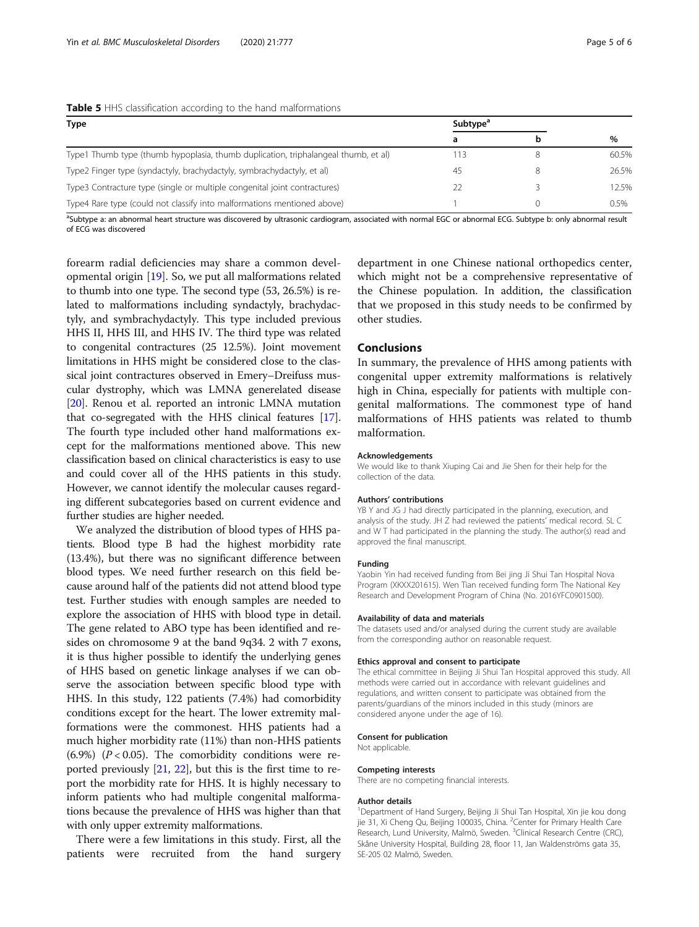## <span id="page-4-0"></span>Table 5 HHS classification according to the hand malformations

| <b>Type</b>                                                                        | Subtype <sup>a</sup> |   | $\frac{0}{0}$ |
|------------------------------------------------------------------------------------|----------------------|---|---------------|
|                                                                                    | a                    |   |               |
| Type1 Thumb type (thumb hypoplasia, thumb duplication, triphalangeal thumb, et al) | 13                   | 8 | 60.5%         |
| Type2 Finger type (syndactyly, brachydactyly, symbrachydactyly, et al)             |                      | 8 | 26.5%         |
| Type3 Contracture type (single or multiple congenital joint contractures)          |                      |   | 12.5%         |
| Type4 Rare type (could not classify into malformations mentioned above)            |                      |   | 0.5%          |

<sup>a</sup>Subtype a: an abnormal heart structure was discovered by ultrasonic cardiogram, associated with normal EGC or abnormal ECG. Subtype b: only abnormal result of ECG was discovered

forearm radial deficiencies may share a common developmental origin [\[19\]](#page-5-0). So, we put all malformations related to thumb into one type. The second type (53, 26.5%) is related to malformations including syndactyly, brachydactyly, and symbrachydactyly. This type included previous HHS II, HHS III, and HHS IV. The third type was related to congenital contractures (25 12.5%). Joint movement limitations in HHS might be considered close to the classical joint contractures observed in Emery–Dreifuss muscular dystrophy, which was LMNA generelated disease [[20](#page-5-0)]. Renou et al. reported an intronic LMNA mutation that co-segregated with the HHS clinical features [[17](#page-5-0)]. The fourth type included other hand malformations except for the malformations mentioned above. This new classification based on clinical characteristics is easy to use and could cover all of the HHS patients in this study. However, we cannot identify the molecular causes regarding different subcategories based on current evidence and further studies are higher needed.

We analyzed the distribution of blood types of HHS patients. Blood type B had the highest morbidity rate (13.4%), but there was no significant difference between blood types. We need further research on this field because around half of the patients did not attend blood type test. Further studies with enough samples are needed to explore the association of HHS with blood type in detail. The gene related to ABO type has been identified and resides on chromosome 9 at the band 9q34. 2 with 7 exons, it is thus higher possible to identify the underlying genes of HHS based on genetic linkage analyses if we can observe the association between specific blood type with HHS. In this study, 122 patients (7.4%) had comorbidity conditions except for the heart. The lower extremity malformations were the commonest. HHS patients had a much higher morbidity rate (11%) than non-HHS patients (6.9%) ( $P < 0.05$ ). The comorbidity conditions were reported previously  $[21, 22]$  $[21, 22]$  $[21, 22]$  $[21, 22]$  $[21, 22]$ , but this is the first time to report the morbidity rate for HHS. It is highly necessary to inform patients who had multiple congenital malformations because the prevalence of HHS was higher than that with only upper extremity malformations.

There were a few limitations in this study. First, all the patients were recruited from the hand surgery

department in one Chinese national orthopedics center, which might not be a comprehensive representative of the Chinese population. In addition, the classification that we proposed in this study needs to be confirmed by other studies.

## Conclusions

In summary, the prevalence of HHS among patients with congenital upper extremity malformations is relatively high in China, especially for patients with multiple congenital malformations. The commonest type of hand malformations of HHS patients was related to thumb malformation.

#### Acknowledgements

We would like to thank Xiuping Cai and Jie Shen for their help for the collection of the data.

#### Authors' contributions

YB Y and JG J had directly participated in the planning, execution, and analysis of the study. JH Z had reviewed the patients' medical record. SL C and W T had participated in the planning the study. The author(s) read and approved the final manuscript.

#### Funding

Yaobin Yin had received funding from Bei jing Ji Shui Tan Hospital Nova Program (XKXX201615). Wen Tian received funding form The National Key Research and Development Program of China (No. 2016YFC0901500).

## Availability of data and materials

The datasets used and/or analysed during the current study are available from the corresponding author on reasonable request.

#### Ethics approval and consent to participate

The ethical committee in Beijing Ji Shui Tan Hospital approved this study. All methods were carried out in accordance with relevant guidelines and regulations, and written consent to participate was obtained from the parents/guardians of the minors included in this study (minors are considered anyone under the age of 16).

#### Consent for publication

Not applicable.

### Competing interests

There are no competing financial interests.

#### Author details

<sup>1</sup>Department of Hand Surgery, Beijing Ji Shui Tan Hospital, Xin jie kou dong jie 31, Xi Cheng Qu, Beijing 100035, China. <sup>2</sup>Center for Primary Health Care .<br>Research, Lund University, Malmö, Sweden. <sup>3</sup>Clinical Research Centre (CRC), Skåne University Hospital, Building 28, floor 11, Jan Waldenströms gata 35, SE-205 02 Malmö, Sweden.